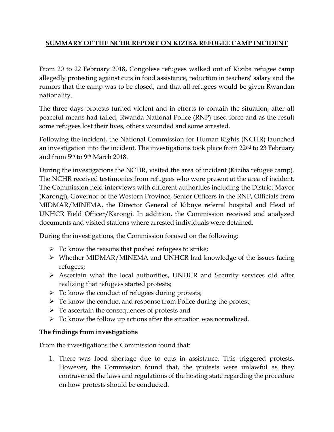## **SUMMARY OF THE NCHR REPORT ON KIZIBA REFUGEE CAMP INCIDENT**

From 20 to 22 February 2018, Congolese refugees walked out of Kiziba refugee camp allegedly protesting against cuts in food assistance, reduction in teachers' salary and the rumors that the camp was to be closed, and that all refugees would be given Rwandan nationality.

The three days protests turned violent and in efforts to contain the situation, after all peaceful means had failed, Rwanda National Police (RNP) used force and as the result some refugees lost their lives, others wounded and some arrested.

Following the incident, the National Commission for Human Rights (NCHR) launched an investigation into the incident. The investigations took place from 22nd to 23 February and from 5th to 9th March 2018.

During the investigations the NCHR, visited the area of incident (Kiziba refugee camp). The NCHR received testimonies from refugees who were present at the area of incident. The Commission held interviews with different authorities including the District Mayor (Karongi), Governor of the Western Province, Senior Officers in the RNP, Officials from MIDMAR/MINEMA, the Director General of Kibuye referral hospital and Head of UNHCR Field Officer/Karongi. In addition, the Commission received and analyzed documents and visited stations where arrested individuals were detained.

During the investigations, the Commission focused on the following:

- $\triangleright$  To know the reasons that pushed refugees to strike;
- Whether MIDMAR/MINEMA and UNHCR had knowledge of the issues facing refugees;
- Ascertain what the local authorities, UNHCR and Security services did after realizing that refugees started protests;
- $\triangleright$  To know the conduct of refugees during protests;
- $\triangleright$  To know the conduct and response from Police during the protest;
- $\triangleright$  To ascertain the consequences of protests and
- $\triangleright$  To know the follow up actions after the situation was normalized.

## **The findings from investigations**

From the investigations the Commission found that:

1. There was food shortage due to cuts in assistance. This triggered protests. However, the Commission found that, the protests were unlawful as they contravened the laws and regulations of the hosting state regarding the procedure on how protests should be conducted.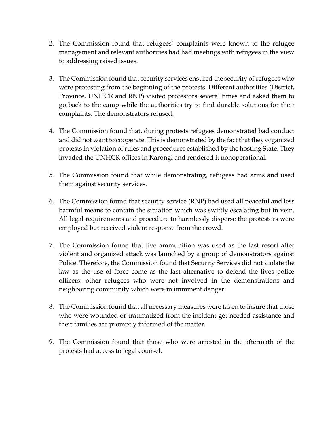- 2. The Commission found that refugees' complaints were known to the refugee management and relevant authorities had had meetings with refugees in the view to addressing raised issues.
- 3. The Commission found that security services ensured the security of refugees who were protesting from the beginning of the protests. Different authorities (District, Province, UNHCR and RNP) visited protestors several times and asked them to go back to the camp while the authorities try to find durable solutions for their complaints. The demonstrators refused.
- 4. The Commission found that, during protests refugees demonstrated bad conduct and did not want to cooperate. This is demonstrated by the fact that they organized protests in violation of rules and procedures established by the hosting State. They invaded the UNHCR offices in Karongi and rendered it nonoperational.
- 5. The Commission found that while demonstrating, refugees had arms and used them against security services.
- 6. The Commission found that security service (RNP) had used all peaceful and less harmful means to contain the situation which was swiftly escalating but in vein. All legal requirements and procedure to harmlessly disperse the protestors were employed but received violent response from the crowd.
- 7. The Commission found that live ammunition was used as the last resort after violent and organized attack was launched by a group of demonstrators against Police. Therefore, the Commission found that Security Services did not violate the law as the use of force come as the last alternative to defend the lives police officers, other refugees who were not involved in the demonstrations and neighboring community which were in imminent danger.
- 8. The Commission found that all necessary measures were taken to insure that those who were wounded or traumatized from the incident get needed assistance and their families are promptly informed of the matter.
- 9. The Commission found that those who were arrested in the aftermath of the protests had access to legal counsel.